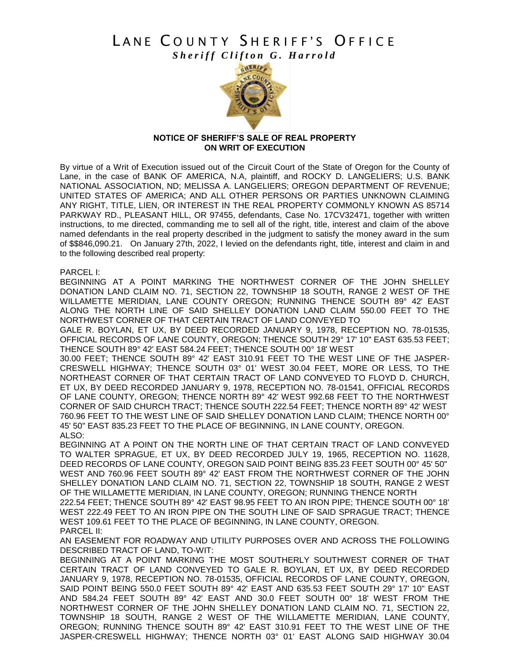# LANE COUNTY SHERIFF'S OFFICE *Sheriff Clifton G. Harrold*



### **NOTICE OF SHERIFF'S SALE OF REAL PROPERTY ON WRIT OF EXECUTION**

By virtue of a Writ of Execution issued out of the Circuit Court of the State of Oregon for the County of Lane, in the case of BANK OF AMERICA, N.A, plaintiff, and ROCKY D. LANGELIERS; U.S. BANK NATIONAL ASSOCIATION, ND; MELISSA A. LANGELIERS; OREGON DEPARTMENT OF REVENUE; UNITED STATES OF AMERICA; AND ALL OTHER PERSONS OR PARTIES UNKNOWN CLAIMING ANY RIGHT, TITLE, LIEN, OR INTEREST IN THE REAL PROPERTY COMMONLY KNOWN AS 85714 PARKWAY RD., PLEASANT HILL, OR 97455, defendants, Case No. 17CV32471, together with written instructions, to me directed, commanding me to sell all of the right, title, interest and claim of the above named defendants in the real property described in the judgment to satisfy the money award in the sum of \$\$846,090.21. On January 27th, 2022, I levied on the defendants right, title, interest and claim in and to the following described real property:

PARCEL I:

BEGINNING AT A POINT MARKING THE NORTHWEST CORNER OF THE JOHN SHELLEY DONATION LAND CLAIM NO. 71, SECTION 22, TOWNSHIP 18 SOUTH, RANGE 2 WEST OF THE WILLAMETTE MERIDIAN, LANE COUNTY OREGON; RUNNING THENCE SOUTH 89° 42' EAST ALONG THE NORTH LINE OF SAID SHELLEY DONATION LAND CLAIM 550.00 FEET TO THE NORTHWEST CORNER OF THAT CERTAIN TRACT OF LAND CONVEYED TO

GALE R. BOYLAN, ET UX, BY DEED RECORDED JANUARY 9, 1978, RECEPTION NO. 78-01535, OFFICIAL RECORDS OF LANE COUNTY, OREGON; THENCE SOUTH 29° 17' 10" EAST 635.53 FEET; THENCE SOUTH 89° 42' EAST 584.24 FEET; THENCE SOUTH 00° 18' WEST

30.00 FEET; THENCE SOUTH 89° 42' EAST 310.91 FEET TO THE WEST LINE OF THE JASPER-CRESWELL HIGHWAY; THENCE SOUTH 03° 01' WEST 30.04 FEET, MORE OR LESS, TO THE NORTHEAST CORNER OF THAT CERTAIN TRACT OF LAND CONVEYED TO FLOYD D. CHURCH, ET UX, BY DEED RECORDED JANUARY 9, 1978, RECEPTION NO. 78-01541, OFFICIAL RECORDS OF LANE COUNTY, OREGON; THENCE NORTH 89° 42' WEST 992.68 FEET TO THE NORTHWEST CORNER OF SAID CHURCH TRACT; THENCE SOUTH 222.54 FEET; THENCE NORTH 89° 42' WEST 760.96 FEET TO THE WEST LINE OF SAID SHELLEY DONATION LAND CLAIM; THENCE NORTH 00° 45' 50" EAST 835.23 FEET TO THE PLACE OF BEGINNING, IN LANE COUNTY, OREGON. ALSO:

BEGINNING AT A POINT ON THE NORTH LINE OF THAT CERTAIN TRACT OF LAND CONVEYED TO WALTER SPRAGUE, ET UX, BY DEED RECORDED JULY 19, 1965, RECEPTION NO. 11628, DEED RECORDS OF LANE COUNTY, OREGON SAID POINT BEING 835.23 FEET SOUTH 00° 45' 50" WEST AND 760.96 FEET SOUTH 89° 42' EAST FROM THE NORTHWEST CORNER OF THE JOHN SHELLEY DONATION LAND CLAIM NO. 71, SECTION 22, TOWNSHIP 18 SOUTH, RANGE 2 WEST OF THE WILLAMETTE MERIDIAN, IN LANE COUNTY, OREGON; RUNNING THENCE NORTH

222.54 FEET; THENCE SOUTH 89° 42' EAST 98.95 FEET TO AN IRON PIPE; THENCE SOUTH 00° 18' WEST 222.49 FEET TO AN IRON PIPE ON THE SOUTH LINE OF SAID SPRAGUE TRACT; THENCE WEST 109.61 FEET TO THE PLACE OF BEGINNING, IN LANE COUNTY, OREGON. PARCEL II:

AN EASEMENT FOR ROADWAY AND UTILITY PURPOSES OVER AND ACROSS THE FOLLOWING DESCRIBED TRACT OF LAND, TO-WIT:

BEGINNING AT A POINT MARKING THE MOST SOUTHERLY SOUTHWEST CORNER OF THAT CERTAIN TRACT OF LAND CONVEYED TO GALE R. BOYLAN, ET UX, BY DEED RECORDED JANUARY 9, 1978, RECEPTION NO. 78-01535, OFFICIAL RECORDS OF LANE COUNTY, OREGON, SAID POINT BEING 550.0 FEET SOUTH 89° 42' EAST AND 635.53 FEET SOUTH 29° 17' 10" EAST AND 584.24 FEET SOUTH 89° 42' EAST AND 30.0 FEET SOUTH 00° 18' WEST FROM THE NORTHWEST CORNER OF THE JOHN SHELLEY DONATION LAND CLAIM NO. 71, SECTION 22, TOWNSHIP 18 SOUTH, RANGE 2 WEST OF THE WILLAMETTE MERIDIAN, LANE COUNTY, OREGON; RUNNING THENCE SOUTH 89° 42' EAST 310.91 FEET TO THE WEST LINE OF THE JASPER-CRESWELL HIGHWAY; THENCE NORTH 03° 01' EAST ALONG SAID HIGHWAY 30.04